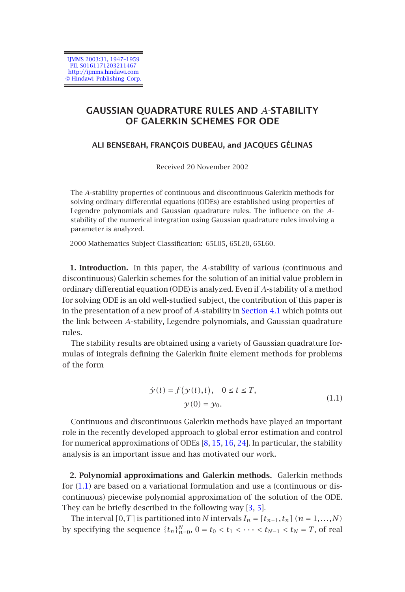

# **GAUSSIAN QUADRATURE RULES AND** *A***-STABILITY OF GALERKIN SCHEMES FOR ODE**

## **ALI BENSEBAH, FRANÇOIS DUBEAU, and JACQUES GÉLINAS**

Received 20 November 2002

The *A*-stability properties of continuous and discontinuous Galerkin methods for solving ordinary differential equations (ODEs) are established using properties of Legendre polynomials and Gaussian quadrature rules. The influence on the *A*stability of the numerical integration using Gaussia[n](#page-3-0) [quadrature](#page-3-0) [r](#page-3-0)ules involving a parameter is analyzed.

2000 Mathematics Subject Classification: 65L05, 65L20, 65L60.

**1. Introduction.** In this paper, the *A*-stability of various (continuous and discontinuous) Galerkin schemes for the solution of an initial value problem in ordinary differential equation (ODE) is analyzed. Even if *A*-stability of a method for solving ODE is an old well-studied subject, the contribution of this paper is in the presentation of a new proof of *A*-stability in Section 4.1 which points out the link between *A*-stability, Legendre polynomials, and Gaussian quadrature rules.

The stability results are obtained using a variety of Gaussian quadrature formulas of integrals defining the Galerki[n](#page-11-0) [finit](#page-11-1)[e](#page-11-2) [el](#page-11-2)[eme](#page-11-3)nt methods for problems of the form

$$
\dot{\mathcal{Y}}(t) = f(\mathcal{Y}(t), t), \quad 0 \le t \le T,
$$
  

$$
\mathcal{Y}(0) = \mathcal{Y}_0.
$$
 (1.1)

Continuous and discontinuous Galerkin methods have played an important role in the recently developed approach to global error estimation and control for numerical approximations of ODEs  $[8, 15, 16, 24]$ . In particular, the stability analysis is an important issue and has motivated our work.

**2. Polynomial approximations and Galerkin methods.** Galerkin methods for (1.1) are based on a variational formulation and use a (continuous or discontinuous) piecewise polynomial approximation of the solution of the ODE. They can be briefly described in the following way [3, 5].

The interval  $[0, T]$  is partitioned into *N* intervals  $I_n = [t_{n-1}, t_n]$   $(n = 1, \ldots, N)$ by specifying the sequence  $\{t_n\}_{n=0}^N$ ,  $0 = t_0 < t_1 < \cdots < t_{N-1} < t_N = T$ , of real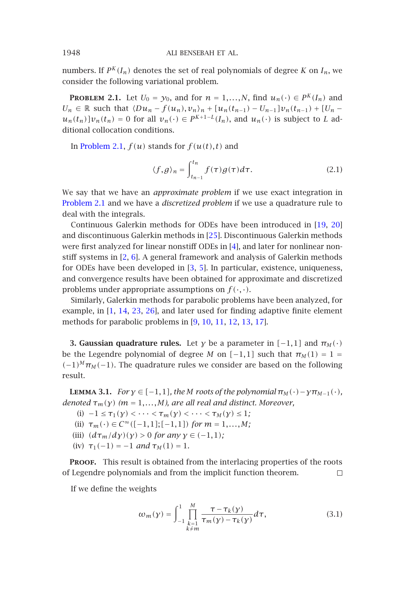numbers. If  $P^K(I_n)$  denotes the set of real polynomials of degree *K* on  $I_n$ , we consider the following variational problem.

**PROBLEM 2.1.** Let  $U_0 = y_0$ , and for  $n = 1,...,N$ , find  $u_n(\cdot) \in P^K(I_n)$  and *U<sub>n</sub>* ∈ ℝ [such](#page-1-0) that  $\langle Du_n - f(u_n), v_n \rangle_n + [u_n(t_{n-1}) - U_{n-1}]v_n(t_{n-1}) + [U_n$  $u_n(t_n)[v_n(t_n) = 0$  for all  $v_n(\cdot) \in P^{K+1-L}(I_n)$ , and  $u_n(\cdot)$  is subject to *L* additional collocation conditions.

In Problem 2.1,  $f(u)$  sta[nd](#page-10-0)s for  $f(u(t),t)$  $f(u(t),t)$  $f(u(t),t)$  and

$$
\langle f, g \rangle_n = \int_{t_{n-1}}^{t_n} f(\tau) g(\tau) d\tau.
$$
 (2.1)

We say that we have an *approximate problem* if we use exact integration in Problem 2.1 and we have a *discretized problem* if we use a quadrature rule to deal with th[e i](#page-10-3)[nteg](#page-11-5)[rals](#page-11-6)[.](#page-12-0)

Continuous Galerkin methods f[or](#page-11-7) [ODE](#page-11-8)[s h](#page-11-9)[ave](#page-11-10) [bee](#page-11-11)[n in](#page-11-12)troduced in [19, 20] and discontinuous Galerkin methods in [25]. Discontinuous Galerkin methods were first analyzed for linear nonstiff ODEs in [4], and later for nonlinear nonstiff systems in [2, 6]. A general framework and analysis of Galerkin methods for ODEs have been developed in [3, 5]. In particular, existence, uniqueness, and convergence results have been obtained for approximate and discretized problems under appropriate assumptions on  $f(\cdot, \cdot)$ .

Similarly, Galerkin methods for parabolic problems have been analyzed, for example, in [1, 14, 23, 26], and later used for finding adaptive finite element methods for parabolic problems in [9, 10, 11, 12, 13, 17].

**3. Gaussian quadrature rules.** Let *γ* be a parameter in  $[-1,1]$  and  $\pi_M(\cdot)$ be the Legendre polynomial of degree *M* on  $[-1,1]$  such that  $\pi_M(1) = 1$  $(-1)^M$  $\pi_M$  (−1). The quadrature rules we consider are based on the following result.

**LEMMA** 3.1. *For*  $\gamma \in [-1,1]$ *, the M roots of the polynomial*  $\pi_M(\cdot) - \gamma \pi_{M-1}(\cdot)$ *, denoted*  $\tau_m(y)$  ( $m = 1,...,M$ ), are all real and distinct. Moreover,

(i)  $-1 \le \tau_1(y) < \cdots < \tau_m(y) < \cdots < \tau_M(y) \le 1;$ 

- (ii)  $\tau_m(\cdot) \in C^\infty([-1,1];[-1,1])$  *for*  $m = 1,...,M$ ;
- (iii)  $(d\tau_m/d\gamma)(\gamma) > 0$  *for any*  $\gamma \in (-1,1)$ *;*
- (iv)  $\tau_1(-1) = -1$  *and*  $\tau_M(1) = 1$ *.*

PROOF. This result is obtained from the interlacing properties of the roots of Legendre polynomials and from the implicit function theorem.  $\Box$ 

If we define the weights

$$
\omega_m(\gamma) = \int_{-1}^1 \prod_{\substack{k=1\\k \neq m}}^M \frac{\tau - \tau_k(\gamma)}{\tau_m(\gamma) - \tau_k(\gamma)} d\tau,
$$
 (3.1)

<span id="page-1-0"></span>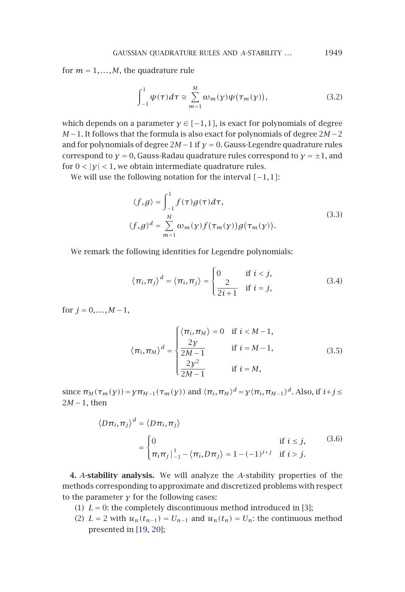GAUSSIAN QUADRATURE RULES AND *A*-STABILITY *...* 1949

for  $m = 1, \ldots, M$ , the quadrature rule

<span id="page-2-0"></span>
$$
\int_{-1}^{1} \psi(\tau) d\tau \cong \sum_{m=1}^{M} \omega_m(y) \psi(\tau_m(y)), \tag{3.2}
$$

which depends on a parameter  $\gamma \in [-1,1]$ , is exact for polynomials of degree *M* −1. It follows that the formula is also exact for polynomials of degree 2*M* −2 and for polynomials of degree 2*M*−1 if *γ* = 0. Gauss-Legendre quadrature rules correspond to  $\gamma = 0$ , Gauss-Radau quadrature rules correspond to  $\gamma = \pm 1$ , and for  $0 < |y| < 1$ , we obtain intermediate quadrature rules.

We will use the following notation for the interval *[*−1*,*1*]*:

$$
\langle f, g \rangle = \int_{-1}^{1} f(\tau) g(\tau) d\tau,
$$
  

$$
\langle f, g \rangle^{d} = \sum_{m=1}^{M} \omega_{m}(y) f(\tau_{m}(y)) g(\tau_{m}(y)).
$$
\n(3.3)

We remark the following identities for Legendre polynomials:

$$
\langle \pi_i, \pi_j \rangle^d = \langle \pi_i, \pi_j \rangle = \begin{cases} 0 & \text{if } i < j, \\ \frac{2}{2i+1} & \text{if } i = j, \end{cases}
$$
 (3.4)

for  $j = 0, ..., M - 1$ ,

$$
\langle \pi_i, \pi_M \rangle^d = \begin{cases} \langle \pi_i, \pi_M \rangle = 0 & \text{if } i < M-1, \\ \frac{2\gamma}{2M-1} & \text{if } i = M-1, \\ \frac{2\gamma^2}{2M-1} & \text{if } i = M, \end{cases}
$$
 (3.5)

since  $\pi_M(\tau_m(\gamma)) = \gamma \pi_{M-1}(\tau_m(\gamma))$  and  $\langle \pi_i, \pi_M \rangle^d = \gamma \langle \pi_i, \pi_{M-1} \rangle^d$ . Also, if  $i+j \leq$ 2*M* −1, then

$$
\langle D\pi_i, \pi_j \rangle^d = \langle D\pi_i, \pi_j \rangle
$$
  
= 
$$
\begin{cases} 0 & \text{if } i \leq j, \\ \pi_i \pi_j \big|_{-1}^1 - \langle \pi_i, D\pi_j \rangle = 1 - (-1)^{i+j} & \text{if } i > j. \end{cases}
$$
 (3.6)

**4.** *A***-stability analysis.** We will analyze the *A*-stability properties of the methods corresponding to approximate and discretized problems with respect to the parameter *γ* for the following cases:

- (1)  $L = 0$ : the completely discontinuous method introduced in [3];
- (2)  $L = 2$  with  $u_n(t_{n-1}) = U_{n-1}$  and  $u_n(t_n) = U_n$ : the continuous method presented in [19, 20];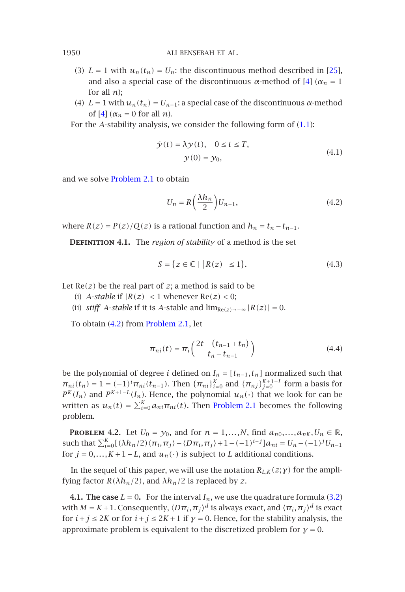- (3)  $L = 1$  with  $u_n(t_n) = U_n$ : the discontinuous method described in [25], and a[lso a special](#page-1-0) case of the discontinuous  $\alpha$ -method of [4] ( $\alpha_n = 1$ ) for all *n*);
- (4)  $L = 1$  with  $u_n(t_n) = U_{n-1}$ : a special case of the discontinuous  $\alpha$ -method of  $[4]$  ( $\alpha_n = 0$  for all *n*).

For the *A*-stability analysis, we consider the following form of  $(1.1)$ :

<span id="page-3-1"></span>
$$
\dot{\mathcal{Y}}(t) = \lambda \mathcal{Y}(t), \quad 0 \le t \le T,
$$
  

$$
\mathcal{Y}(0) = \mathcal{Y}_0,
$$
 (4.1)

and we solve Problem 2.1 to obtain

$$
U_n = R\left(\frac{\lambda h_n}{2}\right) U_{n-1},\tag{4.2}
$$

where  $R(z) = P(z)/Q(z)$  [is a ration](#page-1-0)al function and  $h_n = t_n - t_{n-1}$ .

**DEFINITION 4.1.** The *region of stability* of a method is the set

$$
S = \{ z \in \mathbb{C} \mid |R(z)| \le 1 \}. \tag{4.3}
$$

Let  $Re(z)$  be the real part of  $z$ ; a method is said to be

- (i) *A*-*stable* if  $|R(z)| < 1$  whenever  $Re(z) < 0$ ;
- (ii) *stiff A*-*stable* if it is *A*-*stable* and  $\lim_{Re(z) \to -\infty} |R(z)| = 0$ .

To obtain (4.2) from Problem 2.1, let

$$
\pi_{ni}(t) = \pi_i \left( \frac{2t - (t_{n-1} + t_n)}{t_n - t_{n-1}} \right)
$$
\n(4.4)

<span id="page-3-0"></span>be the polynomial of degree *i* defined on  $I_n = [t_{n-1}, t_n]$  normalized such that  $\pi_{ni}(t_n) = 1 = (-1)^i \pi_{ni}(t_{n-1})$ . Then  $\{\pi_{ni}\}_{i=0}^K$  and  $\{\pi_{nj}\}_{j=0}^{K+1-L}$  form a basis for  $P^{K}(I_n)$  and  $P^{K+1-L}(I_n)$ . Hence, the polynomial  $u_n(\cdot)$  that we look for can be written as  $u_n(t) = \sum_{i=0}^{K} a_{ni} \pi_{ni}(t)$ . Then Problem 2.1 becomes the follo[wing](#page-2-0) problem.

**PROBLEM 4.2.** Let  $U_0 = y_0$ , and for  $n = 1, ..., N$ , find  $a_{n0},..., a_{nK}, U_n \in \mathbb{R}$ , such that  $\sum_{i=0}^{K} [(\lambda h_n/2) \langle \pi_i, \pi_j \rangle - \langle D\pi_i, \pi_j \rangle + 1 - (-1)^{i+j}] a_{ni} = U_n - (-1)^j U_{n-1}$ for  $j = 0, ..., K + 1 - L$ , and  $u_n(\cdot)$  is subject to *L* additional conditions.

In the sequel of this paper, we will use the notation  $R_{L,K}(z; \gamma)$  for the amplifying factor  $R(\lambda h_n/2)$ , and  $\lambda h_n/2$  is replaced by *z*.

**4.1. The case**  $L = 0$ . For the interval  $I_n$ , we use the quadrature formula (3.2) with  $M = K + 1$ . Consequently,  $\langle D\pi_i, \pi_j \rangle^d$  is always exact, and  $\langle \pi_i, \pi_j \rangle^d$  is exact for  $i + j \leq 2K$  or for  $i + j \leq 2K + 1$  if  $\gamma = 0$ . Hence, for the stability analysis, the approximate problem is equivalent to the discretized problem for  $y = 0$ .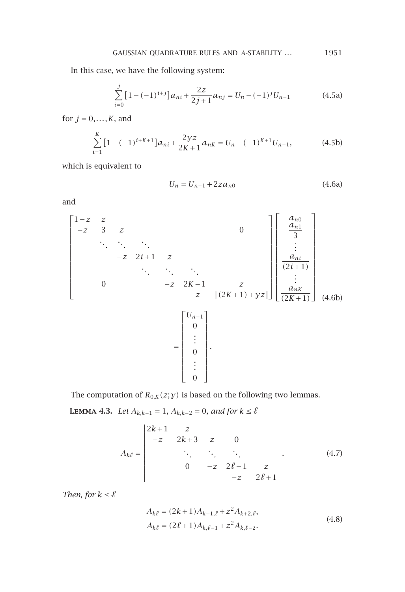In this case, we have the following system:

<span id="page-4-1"></span>
$$
\sum_{i=0}^{j} \left[ 1 - (-1)^{i+j} \right] a_{ni} + \frac{2z}{2j+1} a_{nj} = U_n - (-1)^j U_{n-1}
$$
 (4.5a)

for  $j = 0, \ldots, K$ , and

$$
\sum_{i=1}^{K} \left[ 1 - (-1)^{i + K + 1} \right] a_{ni} + \frac{2\gamma z}{2K + 1} a_{nK} = U_n - (-1)^{K + 1} U_{n-1},\tag{4.5b}
$$

which is equivalent to

$$
U_n = U_{n-1} + 2za_{n0}
$$
 (4.6a)

and

$$
\begin{bmatrix}\n1-z & z & & & & & & & \\
-z & 3 & z & & & & & & \\
& \ddots & \ddots & \ddots & & & & \\
& & -z & 2i+1 & z & & & \\
& & & \ddots & \ddots & \ddots & & \\
& & & & -z & 2K-1 & z & \\
& & & & & -z & [(2K+1)+yz] \end{bmatrix} \begin{bmatrix}\na_{n0} \\
a_{n1} \\
\vdots \\
a_{ni} \\
\vdots \\
a_{nk} \\
(2K+1)\n\end{bmatrix}
$$
\n(4.6b)\n
$$
= \begin{bmatrix}\nU_{n-1} \\
0 \\
\vdots \\
0 \\
0 \\
\vdots \\
0\n\end{bmatrix}.
$$

<span id="page-4-0"></span>The computation of  $R_{0,K}(z; y)$  is based on the following two lemmas.

**LEMMA 4.3.** *Let*  $A_{k,k-1} = 1$ ,  $A_{k,k-2} = 0$ , and for  $k ≤ \ell$ 

$$
A_{k\ell} = \begin{vmatrix} 2k+1 & z & & & \\ -z & 2k+3 & z & 0 & \\ & \ddots & \ddots & \ddots & \\ & & 0 & -z & 2\ell-1 & z \\ & & & -z & 2\ell+1 \end{vmatrix} .
$$
 (4.7)

*Then, for*  $k \leq \ell$ 

$$
A_{k\ell} = (2k+1)A_{k+1,\ell} + z^2 A_{k+2,\ell},
$$
  
\n
$$
A_{k\ell} = (2\ell+1)A_{k,\ell-1} + z^2 A_{k,\ell-2}.
$$
\n(4.8)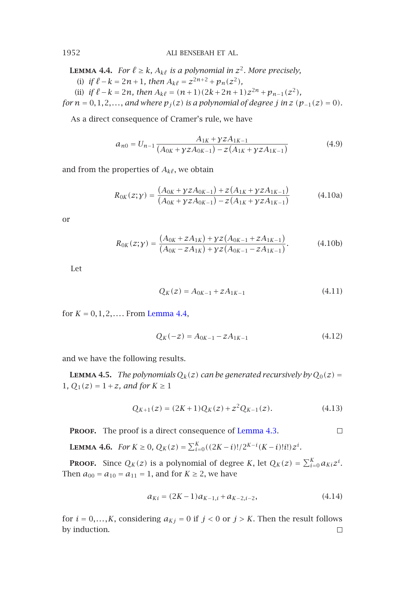**LEMMA 4.4.** *For*  $\ell \geq k$ *,*  $A_{k\ell}$  *is a polynomial in*  $z^2$ *. More precisely,* (i) *if*  $l - k = 2n + 1$ *, then*  $A_{k\ell} = z^{2n+2} + p_n(z^2)$ *,* (ii) *if*  $\ell - k = 2n$ *, then*  $A_{k\ell} = (n+1)(2k+2n+1)z^{2n} + p_{n-1}(z^2)$ *, for*  $n = 0, 1, 2, \ldots$ , *and where*  $p_j(z)$  *is a polynomial of degree j in*  $z$  ( $p_{-1}(z) = 0$ )*.* 

As a direct consequence of Cramer's rule, we have

<span id="page-5-0"></span>
$$
a_{n0} = U_{n-1} \frac{A_{1K} + \gamma z A_{1K-1}}{(A_{0K} + \gamma z A_{0K-1}) - z (A_{1K} + \gamma z A_{1K-1})}
$$
(4.9)

and from the properties of  $A_{k\ell}$ , we obtain

$$
R_{0K}(z;y) = \frac{(A_{0K} + yzA_{0K-1}) + z(A_{1K} + yzA_{1K-1})}{(A_{0K} + yzA_{0K-1}) - z(A_{1K} + yzA_{1K-1})}
$$
(4.10a)

or

$$
R_{0K}(z; y) = \frac{(A_{0K} + zA_{1K}) + yz(A_{0K-1} + zA_{1K-1})}{(A_{0K} - zA_{1K}) + yz(A_{0K-1} - zA_{1K-1})}.
$$
(4.10b)

Let

$$
Q_K(z) = A_{0K-1} + zA_{1K-1}
$$
\n(4.11)

for  $K = 0, 1, 2, \ldots$ . From Lemma 4.4,

$$
Q_K(-z) = A_{0K-1} - zA_{1K-1}
$$
\n(4.12)

and we have the following results.

**LEMMA 4.5.** *The polynomials*  $Q_k(z)$  *can be generated recursively by*  $Q_0(z)$  = 1*,*  $Q_1(z) = 1 + z$ *, and for*  $K \ge 1$ 

$$
Q_{K+1}(z) = (2K+1)Q_K(z) + z^2 Q_{K-1}(z).
$$
 (4.13)

PROOF. The proof is a direct consequence of Lemma 4.3.  $\Box$ 

**LEMMA 4.6.** *For*  $K \ge 0$ ,  $Q_K(z) = \sum_{i=0}^K ((2K - i)! / 2^{K - i} (K - i)! i!) z^i$ .

**Proof.** Since  $Q_K(z)$  is a polynomial of degree *K*, let  $Q_K(z) = \sum_{i=0}^K a_{Ki}z^i$ . Then  $a_{00} = a_{10} = a_{11} = 1$ , and for  $K \ge 2$ , we have

$$
a_{Ki} = (2K - 1)a_{K-1,i} + a_{K-2,i-2}, \tag{4.14}
$$

for  $i = 0, \ldots, K$ , considering  $a_{Kj} = 0$  if  $j < 0$  or  $j > K$ . Then the result follows by induction. $\Box$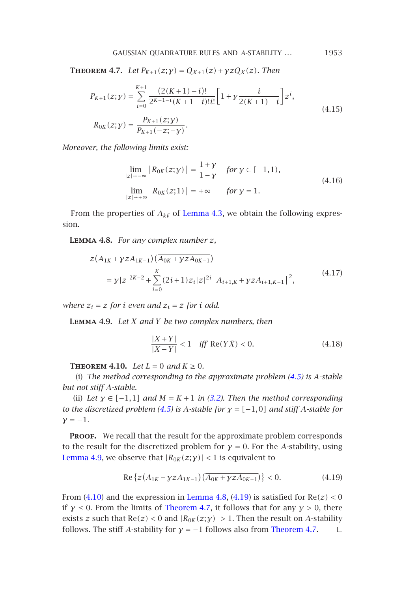GAUSSIAN QUADRATURE RULES AND *A*-STABILITY *...* 1953

<span id="page-6-3"></span>**THEOREM 4.7.** *Let*  $P_{K+1}(z; y) = Q_{K+1}(z) + yzQ_{K}(z)$ *. Then* 

$$
P_{K+1}(z; y) = \sum_{i=0}^{K+1} \frac{(2(K+1)-i)!}{2^{K+1-i}(K+1-i)!i!} \left[1 + y \frac{i}{2(K+1)-i}\right] z^i,
$$
  
\n
$$
R_{0K}(z; y) = \frac{P_{K+1}(z; y)}{P_{K+1}(-z; -y)}.
$$
\n(4.15)

<span id="page-6-1"></span>*Moreover, the following limits exist:*

$$
\lim_{|z| \to -\infty} |R_{0K}(z; y)| = \frac{1 + y}{1 - y} \quad \text{for } y \in [-1, 1),
$$
\n
$$
\lim_{|z| \to +\infty} |R_{0K}(z; 1)| = +\infty \quad \text{for } y = 1.
$$
\n(4.16)

<span id="page-6-0"></span>From the properties of  $A_{k\ell}$  of Lemma 4.3, we obtain the following expression.

**Lemma 4.8.** *For any complex number z,*

$$
z(A_{1K} + yzA_{1K-1})(\overline{A_{0K} + yzA_{0K-1}})
$$
  
=  $y|z|^{2K+2} + \sum_{i=0}^{K} (2i+1)z_i|z|^{2i} |A_{i+1,K} + yzA_{i+1,K-1}|^2,$  (4.17)

*where*  $z_i = z$  *for i even and*  $z_i = \overline{z}$  *for i [odd.](#page-2-0)* 

**Lemma 4.9.** *Let X and Y [be](#page-4-1) two complex numbers, then*

<span id="page-6-2"></span>
$$
\frac{|X+Y|}{|X-Y|} < 1 \quad \text{iff} \quad \text{Re}(Y\bar{X}) < 0. \tag{4.18}
$$

**THEOREM 4.10.** *Let*  $L = 0$  *and*  $K \ge 0$ *.* 

(i) *The method corresponding to the approximate problem (4.5) is A-stable but not stiff A-stable.*

(ii) *Let*  $y \in [-1,1]$  *and*  $M = K + 1$  *[in \(3.2\). T](#page-6-1)[hen t](#page-6-2)he method corresponding to the [discre](#page-5-0)tized problem (4.5) is <i>A[-stable](#page-6-3) for*  $\gamma = [-1,0]$  *and stiff A-stable for*  $\gamma = -1$ .

<span id="page-6-4"></span>PROOF. We recall that the result for the approximate p[roblem corres](#page-6-3)ponds to the result for the discretized problem for  $\gamma = 0$ . For the *A*-stability, using Lemma 4.9, we observe that  $|R_{0K}(z; y)| < 1$  is equivalent to

Re 
$$
\{z(A_{1K} + yzA_{1K-1})(\overline{A_{0K} + yzA_{0K-1}})\} < 0.
$$
 (4.19)

From  $(4.10)$  and the expression in Lemma 4.8,  $(4.19)$  is satisfied for  $Re(z) < 0$ if  $\gamma \leq 0$ . From the limits of Theorem 4.7, it follows that for any  $\gamma > 0$ , there exists *z* such that  $Re(z) < 0$  and  $|R_{0K}(z; y)| > 1$ . Then the result on *A*-stability follows. The stiff *A*-stability for  $y = -1$  follows also from Theorem 4.7.  $\Box$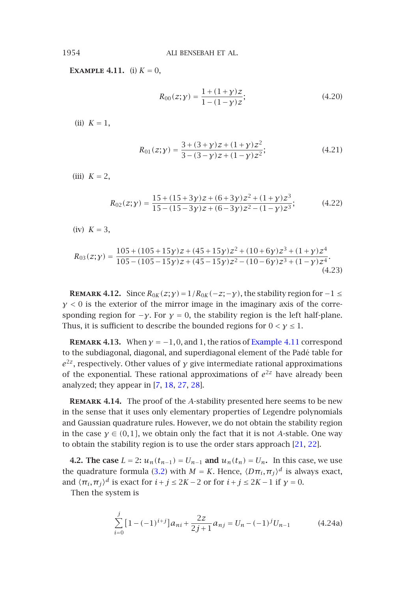**EXAMPLE** 4.11**.** (i)  $K = 0$ ,

$$
R_{00}(z; y) = \frac{1 + (1 + y)z}{1 - (1 - y)z};
$$
\n(4.20)

(ii)  $K = 1$ ,

$$
R_{01}(z; y) = \frac{3 + (3 + y)z + (1 + y)z^2}{3 - (3 - y)z + (1 - y)z^2};
$$
\n(4.21)

(iii)  $K = 2$ ,

$$
R_{02}(z;y) = \frac{15 + (15 + 3y)z + (6 + 3y)z^2 + (1 + y)z^3}{15 - (15 - 3y)z + (6 - 3y)z^2 - (1 - y)z^3};
$$
(4.22)

(iv) *K* = 3,

$$
R_{03}(z;y) = \frac{105 + (105 + 15y)z + (45 + 15y)z^2 + (10 + 6y)z^3 + (1 + y)z^4}{105 - (105 - 15y)z + (45 - 15y)z^2 - (10 - 6y)z^3 + (1 - y)z^4}.
$$
\n(4.23)

**REMARK 4.12.** Since  $R_{0K}(z; y) = 1/R_{0K}(-z; -y)$  $R_{0K}(z; y) = 1/R_{0K}(-z; -y)$  $R_{0K}(z; y) = 1/R_{0K}(-z; -y)$  $R_{0K}(z; y) = 1/R_{0K}(-z; -y)$  $R_{0K}(z; y) = 1/R_{0K}(-z; -y)$  $R_{0K}(z; y) = 1/R_{0K}(-z; -y)$  $R_{0K}(z; y) = 1/R_{0K}(-z; -y)$ , the stability region for  $-1 \le$ *γ <* 0 is the exterior of the mirror image in the imaginary axis of the corresponding region for  $-\gamma$ . For  $\gamma = 0$ , the stability region is the left half-plane. Thus, it is sufficient to describe the bounded regions for  $0 < y \leq 1$ .

**REMARK 4.13.** When  $y = -1, 0$ , and 1, the ratios of Example 4.11 correspond to the subdiagonal, diagonal, and superdiagonal element of the [Pad](#page-11-17)[é ta](#page-11-18)ble for *e*2*z*, respectively. Other values of *γ* give intermediate rational approximations of the exponential. Thes[e ra](#page-2-0)tional approximations of  $e^{2z}$  have already been analyzed; they appear in [7, 18, 27, 28].

<span id="page-7-0"></span>**Remark 4.14.** The proof of the *A*-stability presented here seems to be new in the sense that it uses only elementary properties of Legendre polynomials and Gaussian quadrature rules. However, we do not obtain the stability region in the case  $\gamma \in (0,1]$ , we obtain only the fact that it is not *A*-stable. One way to obtain the stability region is to use the order stars approach [21, 22].

**4.2. The case** *L* = 2**:**  $u_n(t_{n-1}) = U_{n-1}$  **and**  $u_n(t_n) = U_n$ . In this case, we use the quadrature formula (3.2) with  $M = K$ . Hence,  $\langle D\pi_i, \pi_j \rangle^d$  is always exact, and  $\langle \pi_i, \pi_j \rangle^d$  is exact for  $i + j \leq 2K - 2$  or for  $i + j \leq 2K - 1$  if  $\gamma = 0$ .

Then the system is

$$
\sum_{i=0}^{j} \left[ 1 - (-1)^{i+j} \right] a_{ni} + \frac{2z}{2j+1} a_{nj} = U_n - (-1)^j U_{n-1}
$$
 (4.24a)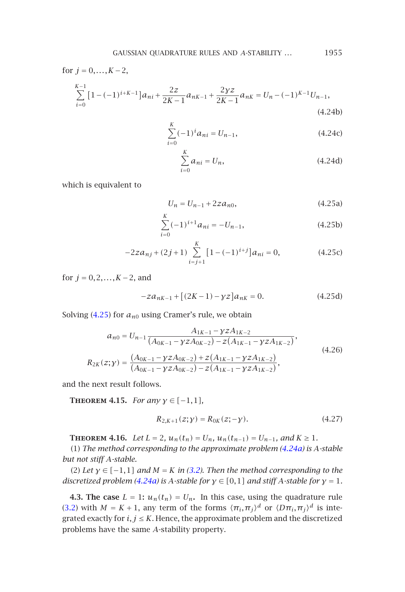GAUSSIAN QUADRATURE RULES AND *A*-STABILITY *...* 1955

for 
$$
j = 0, ..., K - 2
$$
,

$$
\sum_{i=0}^{K-1} \left[ 1 - (-1)^{i+K-1} \right] a_{ni} + \frac{2z}{2K-1} a_{nK-1} + \frac{2yz}{2K-1} a_{nK} = U_n - (-1)^{K-1} U_{n-1},\tag{4.24b}
$$

$$
\sum_{i=0}^{K} (-1)^{i} a_{ni} = U_{n-1},
$$
\n(4.24c)

$$
\sum_{i=0}^{K} a_{ni} = U_n, \t\t(4.24d)
$$

which is equivalent to

$$
U_n = U_{n-1} + 2za_{n0}, \t\t(4.25a)
$$

$$
\sum_{i=0}^{K} (-1)^{i+1} a_{ni} = -U_{n-1},
$$
\n(4.25b)

$$
-2za_{nj} + (2j+1)\sum_{i=j+1}^{K} [1 - (-1)^{i+j}]a_{ni} = 0,
$$
 (4.25c)

for *j* = 0*,*2*,...,K* −2, and

$$
-za_{nK-1} + [(2K-1) - \gamma z]a_{nK} = 0.
$$
 (4.25d)

Solving  $(4.25)$  for  $a_{n0}$  using Cramer's rule, we obtain

$$
a_{n0} = U_{n-1} \frac{A_{1K-1} - \gamma z A_{1K-2}}{(A_{0K-1} - \gamma z A_{0K-2}) - z (A_{1K-1} - \gamma z A_{1K-2})},
$$
  
\n
$$
R_{2K}(z; \gamma) = \frac{(A_{0K-1} - \gamma z A_{0K-2}) + z (A_{1K-1} - \gamma z A_{1K-2})}{(A_{0K-1} - \gamma z A_{0K-2}) - z (A_{1K-1} - \gamma z A_{1K-2})},
$$
\n(4.26)

and the next result [follows](#page-7-0).

**THEOREM 4.15.** *For any*  $\gamma \in [-1,1]$ *,* 

$$
R_{2,K+1}(z; y) = R_{0K}(z; -y).
$$
 (4.27)

**THEOREM 4.16.** *Let*  $L = 2$ *,*  $u_n(t_n) = U_n$ *,*  $u_n(t_{n-1}) = U_{n-1}$ *, and*  $K \ge 1$ *.* 

(1) *The method corresponding to the approximate problem (4.24a) is A-stable but not stiff A-stable.*

(2) Let  $\gamma \in [-1,1]$  and  $M = K$  in (3.2). Then the method corresponding to the *discretized problem (4.24a) is A-stable for*  $\gamma \in [0,1]$  *and stiff A-stable for*  $\gamma = 1$ *.* 

**4.3. The case**  $L = 1$ :  $u_n(t_n) = U_n$ . In this case, using the quadrature rule (3.2) with  $M = K + 1$ , any term of the forms  $\langle \pi_i, \pi_j \rangle^d$  or  $\langle D\pi_i, \pi_j \rangle^d$  is integrated exactly for  $i, j \leq K$ . Hence, the approximate problem and the discretized problems have the same *A*-stability property.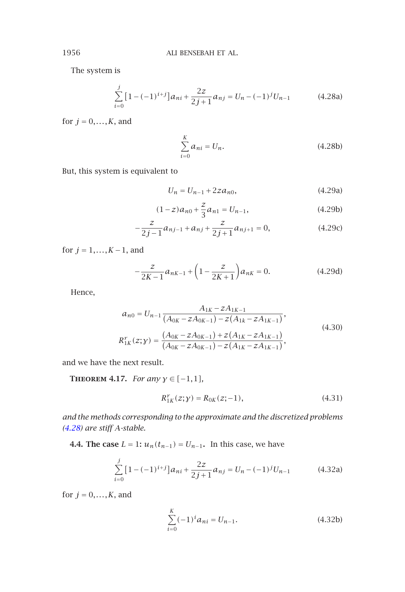The system is

$$
\sum_{i=0}^{j} \left[ 1 - (-1)^{i+j} \right] a_{ni} + \frac{2z}{2j+1} a_{nj} = U_n - (-1)^j U_{n-1}
$$
 (4.28a)

for  $j = 0, \ldots, K$ , and

$$
\sum_{i=0}^{K} a_{ni} = U_n.
$$
 (4.28b)

But, this system is equivalent to

$$
U_n = U_{n-1} + 2za_{n0}, \t\t(4.29a)
$$

$$
(1-z)a_{n0} + \frac{z}{3}a_{n1} = U_{n-1},
$$
\t(4.29b)

$$
-\frac{z}{2j-1}a_{nj-1} + a_{nj} + \frac{z}{2j+1}a_{nj+1} = 0,
$$
\n(4.29c)

for *j* = 1*,...,K* −1, and

$$
-\frac{z}{2K-1}a_{nK-1} + \left(1 - \frac{z}{2K+1}\right)a_{nK} = 0.
$$
 (4.29d)

Hence,

$$
a_{n0} = U_{n-1} \frac{A_{1K} - zA_{1K-1}}{(A_{0K} - zA_{0K-1}) - z(A_{1K} - zA_{1K-1})},
$$
  
\n
$$
R_{1K}^{r}(z; y) = \frac{(A_{0K} - zA_{0K-1}) + z(A_{1K} - zA_{1K-1})}{(A_{0K} - zA_{0K-1}) - z(A_{1K} - zA_{1K-1})},
$$
\n(4.30)

and we have the next result.

**Theorem 4.17.** *For any γ* ∈ *[*−1*,*1*],*

$$
R_{1K}^r(z; y) = R_{0K}(z; -1), \tag{4.31}
$$

*and the methods corresponding to the approximate and the discretized problems (4.28) are stiff A-stable.*

**4.4. The case** *L* = 1**:**  $u_n(t_{n-1}) = U_{n-1}$ . In this case, we have

$$
\sum_{i=0}^{j} \left[ 1 - (-1)^{i+j} \right] a_{ni} + \frac{2z}{2j+1} a_{nj} = U_n - (-1)^j U_{n-1}
$$
 (4.32a)

for  $j = 0, \ldots, K$ , and

$$
\sum_{i=0}^{K} (-1)^{i} a_{ni} = U_{n-1}.
$$
\n(4.32b)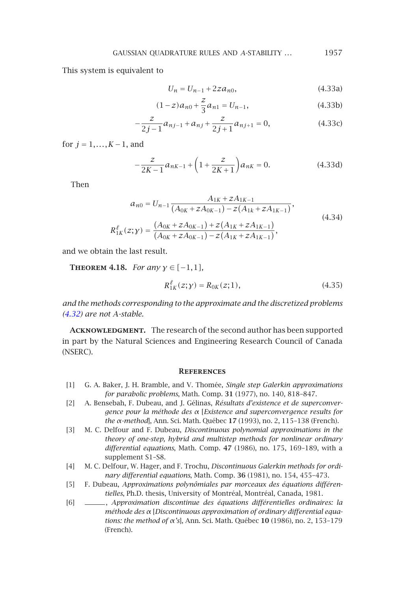#### GAUSSIAN QUADRATURE RULES AND *A*-STABILITY ... 1957

This system is equivalent to

$$
U_n = U_{n-1} + 2za_{n0}, \t\t(4.33a)
$$

$$
(1-z)a_{n0} + \frac{z}{3}a_{n1} = U_{n-1},
$$
\n(4.33b)

$$
-\frac{z}{2j-1}a_{nj-1} + a_{nj} + \frac{z}{2j+1}a_{nj+1} = 0,
$$
\n(4.33c)

for *j* = 1*,...,K* −1, and

$$
-\frac{z}{2K-1}a_{nK-1} + \left(1 + \frac{z}{2K+1}\right)a_{nK} = 0.
$$
 (4.33d)

Then

$$
a_{n0} = U_{n-1} \frac{A_{1K} + zA_{1K-1}}{(A_{0K} + zA_{0K-1}) - z(A_{1k} + zA_{1K-1})},
$$
  
\n
$$
R_{1K}^{\ell}(z; y) = \frac{(A_{0K} + zA_{0K-1}) + z(A_{1K} + zA_{1K-1})}{(A_{0K} + zA_{0K-1}) - z(A_{1K} + zA_{1K-1})},
$$
\n(4.34)

and we obtain the last result.

**THEOREM** 4.18*. For any*  $\gamma \in [-1, 1]$ *,* 

$$
R_{1K}^{\ell}(z; y) = R_{0K}(z; 1), \qquad (4.35)
$$

<span id="page-10-3"></span>*and the methods corresponding to the approximate and the discretized problems (4.32) are not A-stable.*

<span id="page-10-1"></span>ACKNOWLEDGMENT. The research of the second author has been supported in part by the Natural Sciences and Engineering Research Council of Canada (NSERC).

## **References**

- <span id="page-10-2"></span><span id="page-10-0"></span>[1] G. A. Baker, J. H. Bramble, and V. Thomée, *Single step Galerkin approximations for parabolic problems*, Math. Comp. **31** (1977), no. 140, 818–847.
- [2] A. Bensebah, F. Dubeau, and J. Gélinas, *Résultats d'existence et de superconvergence pour la méthode des α* [*Existence and superconvergence results for the α-method*], Ann. Sci. Math. Québec **17** (1993), no. 2, 115–138 (French).
- [3] M. C. Delfour and F. Dubeau, *Discontinuous polynomial approximations in the theory of one-step, hybrid and multistep methods for nonlinear ordinary differential equations*, Math. Comp. **47** (1986), no. 175, 169–189, with a supplement S1–S8.
- [4] M. C. Delfour, W. Hager, and F. Trochu, *Discontinuous Galerkin methods for ordinary differential equations*, Math. Comp. **36** (1981), no. 154, 455–473.
- [5] F. Dubeau, *Approximations polynômiales par morceaux des équations différentielles*, Ph.D. thesis, University of Montréal, Montréal, Canada, 1981.
- [6] , *Approximation discontinue des équations différentielles ordinaires: la méthode des α* [*Discontinuous approximation of ordinary differential equations: the method of α's*], Ann. Sci. Math. Québec **10** (1986), no. 2, 153–179 (French).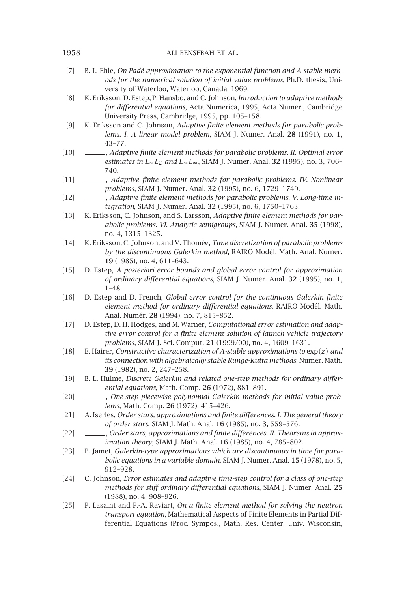- [7] B. L. Ehle, *On Padé approximation to the exponential function and A-stable methods for the numerical solution of initial value problems*, Ph.D. thesis, University of Waterloo, Waterloo, Canada, 1969.
- <span id="page-11-0"></span>[8] K. Eriksson, D. Estep, P. Hansbo, and C. Johnson, *Introduction to adaptive methods for differential equations*, Acta Numerica, 1995, Acta Numer., Cambridge University Press, Cambridge, 1995, pp. 105–158.
- <span id="page-11-7"></span>[9] K. Eriksson and C. Johnson, *Adaptive finite element methods for parabolic problems. I. A linear model problem*, SIAM J. Numer. Anal. **28** (1991), no. 1, 43–77.
- <span id="page-11-8"></span>[10] , *Adaptive finite element methods for parabolic problems. II. Optimal error estimates in L*∞*L*<sup>2</sup> *and L*∞*L*∞, SIAM J. Numer. Anal. **32** (1995), no. 3, 706– 740.
- <span id="page-11-9"></span>[11] , *Adaptive finite element methods for parabolic problems. IV. Nonlinear problems*, SIAM J. Numer. Anal. **32** (1995), no. 6, 1729–1749.
- <span id="page-11-10"></span>[12] , *Adaptive finite element methods for parabolic problems. V. Long-time integration*, SIAM J. Numer. Anal. **32** (1995), no. 6, 1750–1763.
- <span id="page-11-11"></span>[13] K. Eriksson, C. Johnson, and S. Larsson, *Adaptive finite element methods for parabolic problems. VI. Analytic semigroups*, SIAM J. Numer. Anal. **35** (1998), no. 4, 1315–1325.
- <span id="page-11-5"></span>[14] K. Eriksson, C. Johnson, and V. Thomée, *Time discretization of parabolic problems by the discontinuous Galerkin method*, RAIRO Modél. Math. Anal. Numér. **19** (1985), no. 4, 611–643.
- <span id="page-11-1"></span>[15] D. Estep, *A posteriori error bounds and global error control for approximation of ordinary differential equations*, SIAM J. Numer. Anal. **32** (1995), no. 1, 1–48.
- <span id="page-11-2"></span>[16] D. Estep and D. French, *Global error control for the continuous Galerkin finite element method for ordinary differential equations*, RAIRO Modél. Math. Anal. Numér. **28** (1994), no. 7, 815–852.
- <span id="page-11-12"></span>[17] D. Estep, D. H. Hodges, and M. Warner, *Computational error estimation and adaptive error control for a finite element solution of launch vehicle trajectory problems*, SIAM J. Sci. Comput. **21** (1999/00), no. 4, 1609–1631.
- <span id="page-11-16"></span>[18] E. Hairer, *Constructive characterization of A-stable approximations to* exp*(z) and its connection with algebraically stable Runge-Kutta methods*, Numer. Math. **39** (1982), no. 2, 247–258.
- <span id="page-11-13"></span>[19] B. L. Hulme, *Discrete Galerkin and related one-step methods for ordinary differential equations*, Math. Comp. **26** (1972), 881–891.
- <span id="page-11-14"></span>[20] , *One-step piecewise polynomial Galerkin methods for initial value problems*, Math. Comp. **26** (1972), 415–426.
- <span id="page-11-17"></span>[21] A. Iserles, *Order stars, approximations and finite differences. I. The general theory of order stars*, SIAM J. Math. Anal. **16** (1985), no. 3, 559–576.
- <span id="page-11-18"></span>[22] , *Order stars, approximations and finite differences. II. Theorems in approximation theory*, SIAM J. Math. Anal. **16** (1985), no. 4, 785–802.
- <span id="page-11-6"></span>[23] P. Jamet, *Galerkin-type approximations which are discontinuous in time for parabolic equations in a variable domain*, SIAM J. Numer. Anal. **15** (1978), no. 5, 912–928.
- <span id="page-11-3"></span>[24] C. Johnson, *Error estimates and adaptive time-step control for a class of one-step methods for stiff ordinary differential equations*, SIAM J. Numer. Anal. **25** (1988), no. 4, 908–926.
- <span id="page-11-4"></span>[25] P. Lasaint and P.-A. Raviart, *On a finite element method for solving the neutron transport equation*, Mathematical Aspects of Finite Elements in Partial Differential Equations (Proc. Sympos., Math. Res. Center, Univ. Wisconsin,

<span id="page-11-15"></span>